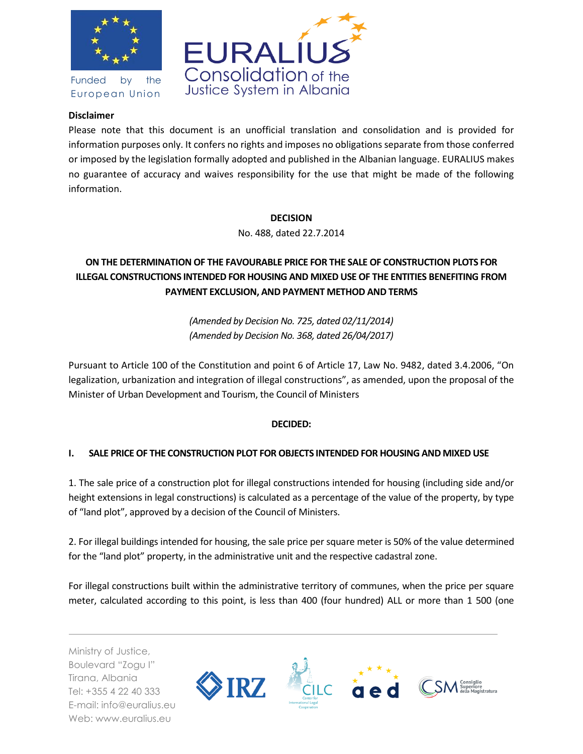

Funded by the European Union



#### **Disclaimer**

Please note that this document is an unofficial translation and consolidation and is provided for information purposes only. It confers no rights and imposes no obligations separate from those conferred or imposed by the legislation formally adopted and published in the Albanian language. EURALIUS makes no guarantee of accuracy and waives responsibility for the use that might be made of the following information.

#### **DECISION**

No. 488, dated 22.7.2014

# **ON THE DETERMINATION OF THE FAVOURABLE PRICE FOR THE SALE OF CONSTRUCTION PLOTS FOR ILLEGAL CONSTRUCTIONS INTENDED FOR HOUSING AND MIXED USE OF THE ENTITIES BENEFITING FROM PAYMENT EXCLUSION, AND PAYMENT METHOD AND TERMS**

*(Amended by Decision No. 725, dated 02/11/2014) (Amended by Decision No. 368, dated 26/04/2017)*

Pursuant to Article 100 of the Constitution and point 6 of Article 17, Law No. 9482, dated 3.4.2006, "On legalization, urbanization and integration of illegal constructions", as amended, upon the proposal of the Minister of Urban Development and Tourism, the Council of Ministers

### **DECIDED:**

### **I. SALE PRICE OF THE CONSTRUCTION PLOT FOR OBJECTS INTENDED FOR HOUSING AND MIXED USE**

1. The sale price of a construction plot for illegal constructions intended for housing (including side and/or height extensions in legal constructions) is calculated as a percentage of the value of the property, by type of "land plot", approved by a decision of the Council of Ministers.

2. For illegal buildings intended for housing, the sale price per square meter is 50% of the value determined for the "land plot" property, in the administrative unit and the respective cadastral zone.

For illegal constructions built within the administrative territory of communes, when the price per square meter, calculated according to this point, is less than 400 (four hundred) ALL or more than 1 500 (one

Ministry of Justice, Boulevard "Zogu I" Tirana, Albania Tel: +355 4 22 40 333 E-mail: info@euralius.eu Web: www.euralius.eu

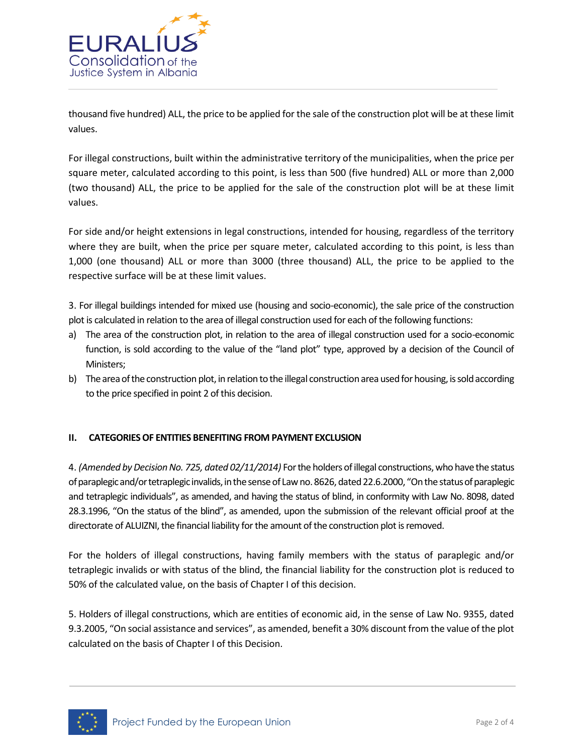

thousand five hundred) ALL, the price to be applied for the sale of the construction plot will be at these limit values.

For illegal constructions, built within the administrative territory of the municipalities, when the price per square meter, calculated according to this point, is less than 500 (five hundred) ALL or more than 2,000 (two thousand) ALL, the price to be applied for the sale of the construction plot will be at these limit values.

For side and/or height extensions in legal constructions, intended for housing, regardless of the territory where they are built, when the price per square meter, calculated according to this point, is less than 1,000 (one thousand) ALL or more than 3000 (three thousand) ALL, the price to be applied to the respective surface will be at these limit values.

3. For illegal buildings intended for mixed use (housing and socio-economic), the sale price of the construction plot is calculated in relation to the area of illegal construction used for each of the following functions:

- a) The area of the construction plot, in relation to the area of illegal construction used for a socio-economic function, is sold according to the value of the "land plot" type, approved by a decision of the Council of Ministers;
- b) The area of the construction plot, in relation to the illegal construction area used for housing, is sold according to the price specified in point 2 of this decision.

### **II. CATEGORIES OF ENTITIES BENEFITING FROM PAYMENT EXCLUSION**

4. *(Amended by Decision No. 725, dated 02/11/2014)* For the holders of illegal constructions, who have the status of paraplegic and/or tetraplegic invalids, in the sense of Law no. 8626, dated 22.6.2000, "On the status of paraplegic and tetraplegic individuals", as amended, and having the status of blind, in conformity with Law No. 8098, dated 28.3.1996, "On the status of the blind", as amended, upon the submission of the relevant official proof at the directorate of ALUIZNI, the financial liability for the amount of the construction plot is removed.

For the holders of illegal constructions, having family members with the status of paraplegic and/or tetraplegic invalids or with status of the blind, the financial liability for the construction plot is reduced to 50% of the calculated value, on the basis of Chapter I of this decision.

5. Holders of illegal constructions, which are entities of economic aid, in the sense of Law No. 9355, dated 9.3.2005, "On social assistance and services", as amended, benefit a 30% discount from the value of the plot calculated on the basis of Chapter I of this Decision.

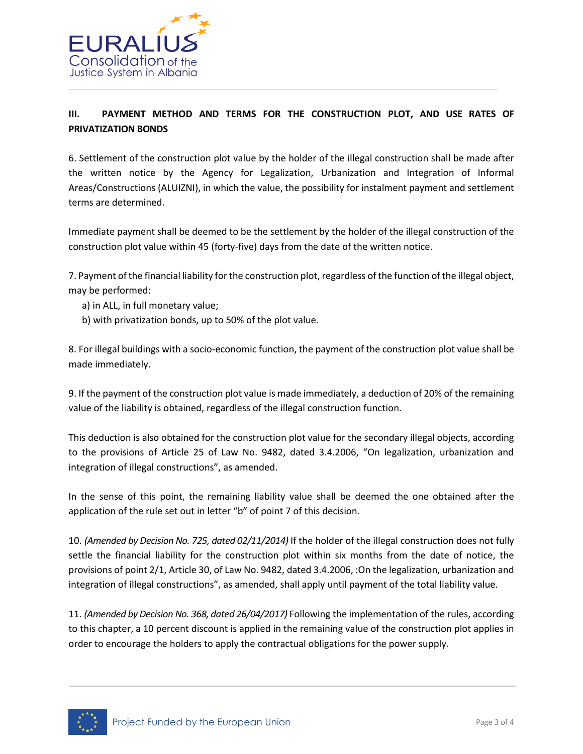

## **III. PAYMENT METHOD AND TERMS FOR THE CONSTRUCTION PLOT, AND USE RATES OF PRIVATIZATION BONDS**

6. Settlement of the construction plot value by the holder of the illegal construction shall be made after the written notice by the Agency for Legalization, Urbanization and Integration of Informal Areas/Constructions (ALUIZNI), in which the value, the possibility for instalment payment and settlement terms are determined.

Immediate payment shall be deemed to be the settlement by the holder of the illegal construction of the construction plot value within 45 (forty-five) days from the date of the written notice.

7. Payment of the financial liability for the construction plot, regardless of the function of the illegal object, may be performed:

- a) in ALL, in full monetary value;
- b) with privatization bonds, up to 50% of the plot value.

8. For illegal buildings with a socio-economic function, the payment of the construction plot value shall be made immediately.

9. If the payment of the construction plot value is made immediately, a deduction of 20% of the remaining value of the liability is obtained, regardless of the illegal construction function.

This deduction is also obtained for the construction plot value for the secondary illegal objects, according to the provisions of Article 25 of Law No. 9482, dated 3.4.2006, "On legalization, urbanization and integration of illegal constructions", as amended.

In the sense of this point, the remaining liability value shall be deemed the one obtained after the application of the rule set out in letter "b" of point 7 of this decision.

10. *(Amended by Decision No. 725, dated 02/11/2014)* If the holder of the illegal construction does not fully settle the financial liability for the construction plot within six months from the date of notice, the provisions of point 2/1, Article 30, of Law No. 9482, dated 3.4.2006, :On the legalization, urbanization and integration of illegal constructions", as amended, shall apply until payment of the total liability value.

11. *(Amended by Decision No. 368, dated 26/04/2017)* Following the implementation of the rules, according to this chapter, a 10 percent discount is applied in the remaining value of the construction plot applies in order to encourage the holders to apply the contractual obligations for the power supply.